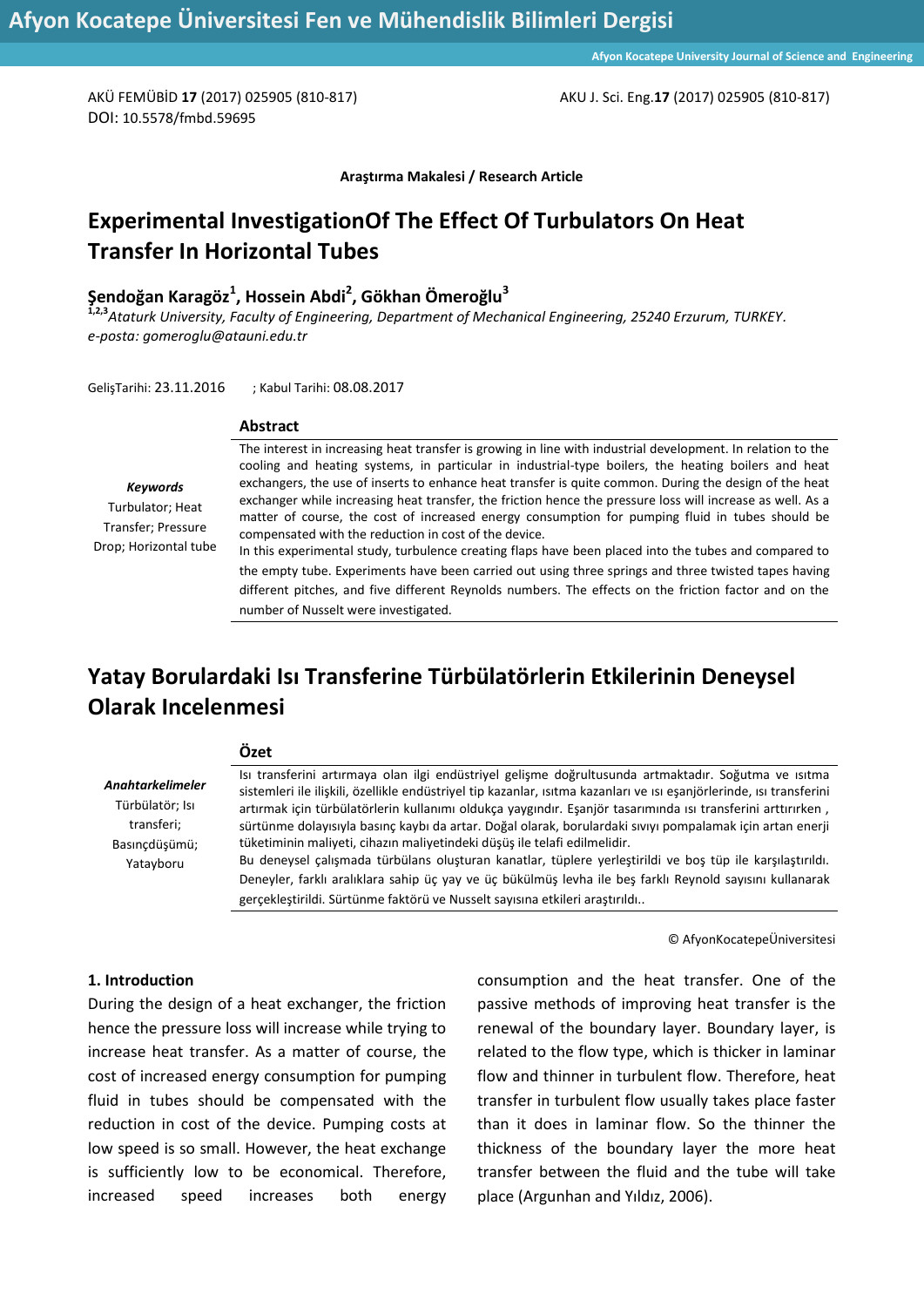AKÜ FEMÜBİD **17** (2017) 025905 (810-817) AKU J. Sci. Eng.**17** (2017) 025905 (810-817)

DOI: 10.5578/fmbd.59695

**Araştırma Makalesi / Research Article**

# **Experimental InvestigationOf The Effect Of Turbulators On Heat Transfer In Horizontal Tubes**

# **Şendoğan Karagöz<sup>1</sup> , Hossein Abdi<sup>2</sup> , Gökhan Ömeroğlu<sup>3</sup>**

**1,2,3***Ataturk University, Faculty of Engineering, Department of Mechanical Engineering, 25240 Erzurum, TURKEY. e-posta: gomeroglu@atauni.edu.tr*

GelişTarihi: 23.11.2016 ; Kabul Tarihi: 08.08.2017

#### **Abstract**

**Özet**

*Keywords* Turbulator; Heat Transfer; Pressure Drop; Horizontal tube The interest in increasing heat transfer is growing in line with industrial development. In relation to the cooling and heating systems, in particular in industrial-type boilers, the heating boilers and heat exchangers, the use of inserts to enhance heat transfer is quite common. During the design of the heat exchanger while increasing heat transfer, the friction hence the pressure loss will increase as well. As a matter of course, the cost of increased energy consumption for pumping fluid in tubes should be compensated with the reduction in cost of the device. In this experimental study, turbulence creating flaps have been placed into the tubes and compared to

the empty tube. Experiments have been carried out using three springs and three twisted tapes having different pitches, and five different Reynolds numbers. The effects on the friction factor and on the

# number of Nusselt were investigated. **Yatay Borulardaki Isı Transferine Türbülatörlerin Etkilerinin Deneysel Olarak Incelenmesi**

|                                                                                        | uzet                                                                                                                                                                                                                                                                                                                                                                                                                                                     |
|----------------------------------------------------------------------------------------|----------------------------------------------------------------------------------------------------------------------------------------------------------------------------------------------------------------------------------------------------------------------------------------------------------------------------------------------------------------------------------------------------------------------------------------------------------|
| <b>Anahtarkelimeler</b><br>Türbülatör; Isı<br>transferi;<br>Basıncdüşümü;<br>Yatayboru | Isi transferini artırmaya olan ilgi endüstriyel gelişme doğrultusunda artmaktadır. Soğutma ve isitma<br>sistemleri ile ilişkili, özellikle endüstriyel tip kazanlar, ısıtma kazanları ve ısı eşanjörlerinde, ısı transferini<br>artırmak için türbülatörlerin kullanımı oldukça yaygındır. Eşanjör tasarımında ısı transferini arttırırken,<br>sürtünme dolayısıyla basınç kaybı da artar. Doğal olarak, borulardaki sıvıyı pompalamak için artan enerji |
|                                                                                        | tüketiminin maliyeti, cihazın maliyetindeki düşüş ile telafi edilmelidir.<br>Bu deneysel çalışmada türbülans oluşturan kanatlar, tüplere yerleştirildi ve boş tüp ile karşılaştırıldı.<br>Deneyler, farklı aralıklara sahip üç yay ve üç bükülmüş levha ile beş farklı Reynold sayısını kullanarak<br>gerçekleştirildi. Sürtünme faktörü ve Nusselt sayısına etkileri araştırıldı                                                                        |

© AfyonKocatepeÜniversitesi

#### **1. Introduction**

During the design of a heat exchanger, the friction hence the pressure loss will increase while trying to increase heat transfer. As a matter of course, the cost of increased energy consumption for pumping fluid in tubes should be compensated with the reduction in cost of the device. Pumping costs at low speed is so small. However, the heat exchange is sufficiently low to be economical. Therefore, increased speed increases both energy

consumption and the heat transfer. One of the passive methods of improving heat transfer is the renewal of the boundary layer. Boundary layer, is related to the flow type, which is thicker in laminar flow and thinner in turbulent flow. Therefore, heat transfer in turbulent flow usually takes place faster than it does in laminar flow. So the thinner the thickness of the boundary layer the more heat transfer between the fluid and the tube will take place (Argunhan and Yıldız, 2006).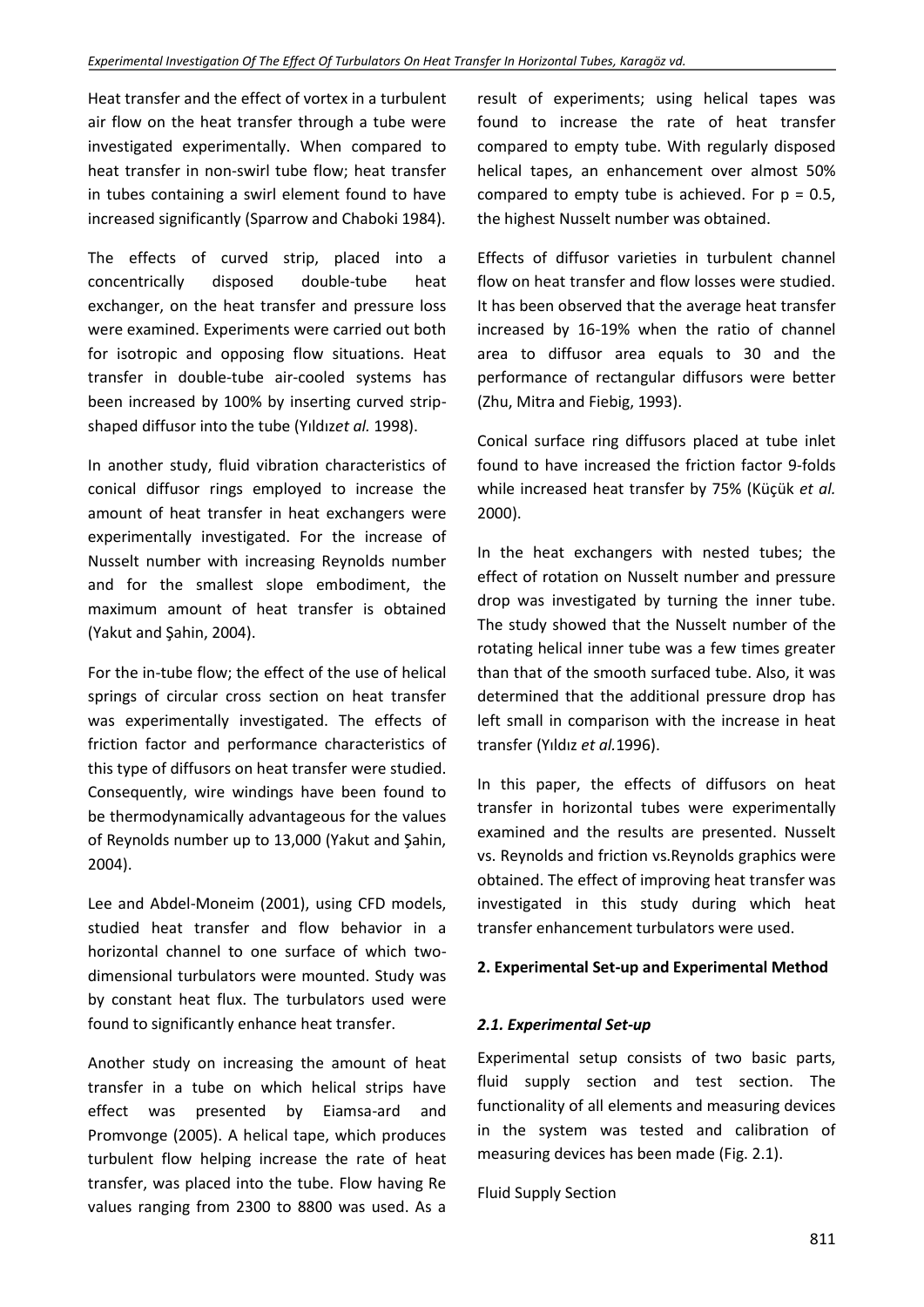Heat transfer and the effect of vortex in a turbulent air flow on the heat transfer through a tube were investigated experimentally. When compared to heat transfer in non-swirl tube flow; heat transfer in tubes containing a swirl element found to have increased significantly (Sparrow and Chaboki 1984).

The effects of curved strip, placed into a concentrically disposed double-tube heat exchanger, on the heat transfer and pressure loss were examined. Experiments were carried out both for isotropic and opposing flow situations. Heat transfer in double-tube air-cooled systems has been increased by 100% by inserting curved stripshaped diffusor into the tube (Yıldız*et al.* 1998).

In another study, fluid vibration characteristics of conical diffusor rings employed to increase the amount of heat transfer in heat exchangers were experimentally investigated. For the increase of Nusselt number with increasing Reynolds number and for the smallest slope embodiment, the maximum amount of heat transfer is obtained (Yakut and Şahin, 2004).

For the in-tube flow; the effect of the use of helical springs of circular cross section on heat transfer was experimentally investigated. The effects of friction factor and performance characteristics of this type of diffusors on heat transfer were studied. Consequently, wire windings have been found to be thermodynamically advantageous for the values of Reynolds number up to 13,000 (Yakut and Şahin, 2004).

Lee and Abdel-Moneim (2001), using CFD models, studied heat transfer and flow behavior in a horizontal channel to one surface of which twodimensional turbulators were mounted. Study was by constant heat flux. The turbulators used were found to significantly enhance heat transfer.

Another study on increasing the amount of heat transfer in a tube on which helical strips have effect was presented by Eiamsa-ard and Promvonge (2005). A helical tape, which produces turbulent flow helping increase the rate of heat transfer, was placed into the tube. Flow having Re values ranging from 2300 to 8800 was used. As a result of experiments; using helical tapes was found to increase the rate of heat transfer compared to empty tube. With regularly disposed helical tapes, an enhancement over almost 50% compared to empty tube is achieved. For  $p = 0.5$ , the highest Nusselt number was obtained.

Effects of diffusor varieties in turbulent channel flow on heat transfer and flow losses were studied. It has been observed that the average heat transfer increased by 16-19% when the ratio of channel area to diffusor area equals to 30 and the performance of rectangular diffusors were better (Zhu, Mitra and Fiebig, 1993).

Conical surface ring diffusors placed at tube inlet found to have increased the friction factor 9-folds while increased heat transfer by 75% (Küçük *et al.* 2000).

In the heat exchangers with nested tubes; the effect of rotation on Nusselt number and pressure drop was investigated by turning the inner tube. The study showed that the Nusselt number of the rotating helical inner tube was a few times greater than that of the smooth surfaced tube. Also, it was determined that the additional pressure drop has left small in comparison with the increase in heat transfer (Yıldız *et al.*1996).

In this paper, the effects of diffusors on heat transfer in horizontal tubes were experimentally examined and the results are presented. Nusselt vs. Reynolds and friction vs.Reynolds graphics were obtained. The effect of improving heat transfer was investigated in this study during which heat transfer enhancement turbulators were used.

# **2. Experimental Set-up and Experimental Method**

### *2.1. Experimental Set-up*

Experimental setup consists of two basic parts, fluid supply section and test section. The functionality of all elements and measuring devices in the system was tested and calibration of measuring devices has been made (Fig. 2.1).

Fluid Supply Section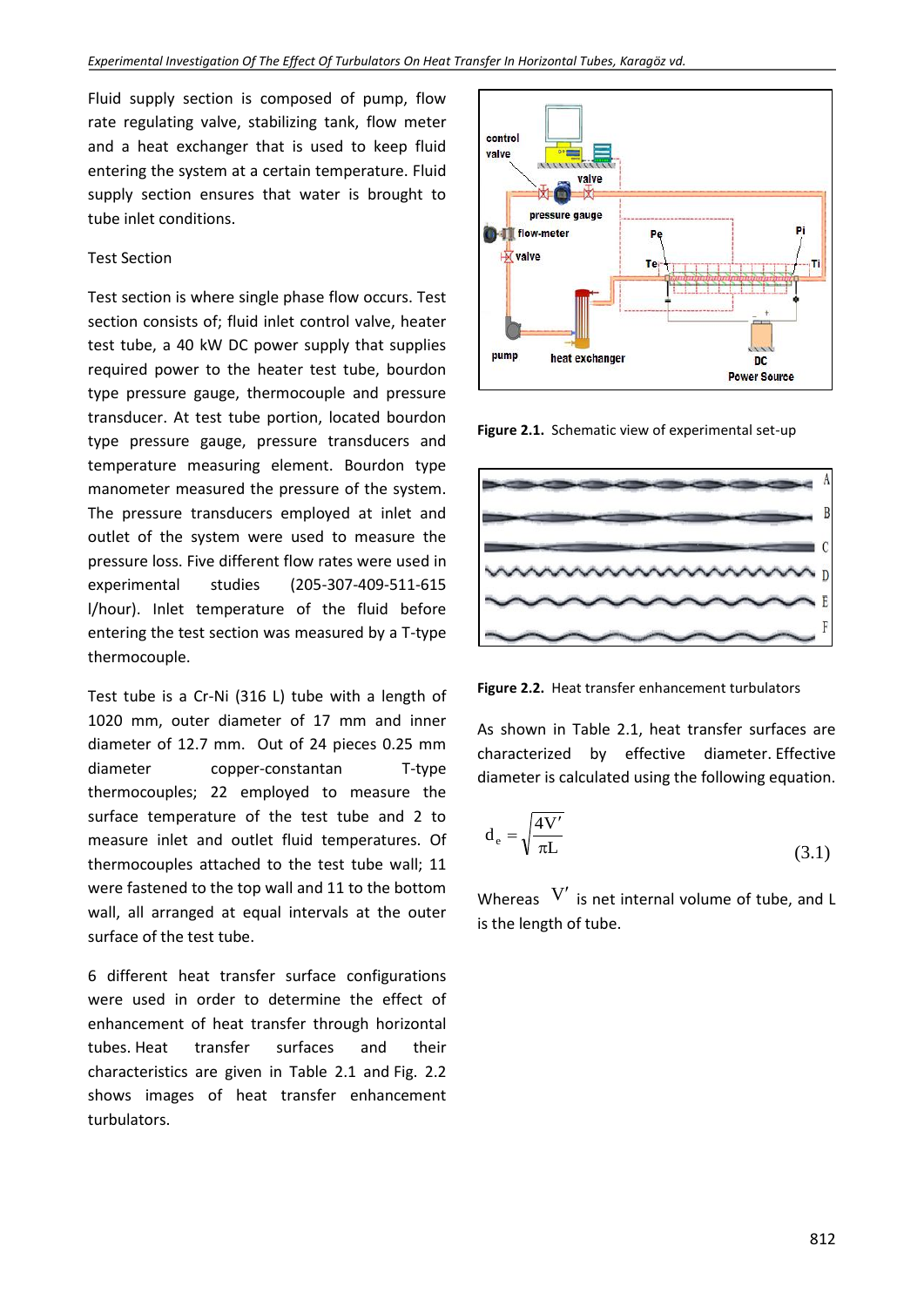Fluid supply section is composed of pump, flow rate regulating valve, stabilizing tank, flow meter and a heat exchanger that is used to keep fluid entering the system at a certain temperature. Fluid supply section ensures that water is brought to tube inlet conditions.

#### Test Section

Test section is where single phase flow occurs. Test section consists of; fluid inlet control valve, heater test tube, a 40 kW DC power supply that supplies required power to the heater test tube, bourdon type pressure gauge, thermocouple and pressure transducer. At test tube portion, located bourdon type pressure gauge, pressure transducers and temperature measuring element. Bourdon type manometer measured the pressure of the system. The pressure transducers employed at inlet and outlet of the system were used to measure the pressure loss. Five different flow rates were used in experimental studies (205-307-409-511-615 l/hour). Inlet temperature of the fluid before entering the test section was measured by a T-type thermocouple.

Test tube is a Cr-Ni (316 L) tube with a length of 1020 mm, outer diameter of 17 mm and inner diameter of 12.7 mm. Out of 24 pieces 0.25 mm diameter copper-constantan T-type thermocouples; 22 employed to measure the surface temperature of the test tube and 2 to measure inlet and outlet fluid temperatures. Of thermocouples attached to the test tube wall; 11 were fastened to the top wall and 11 to the bottom wall, all arranged at equal intervals at the outer surface of the test tube.

6 different heat transfer surface configurations were used in order to determine the effect of enhancement of heat transfer through horizontal tubes. Heat transfer surfaces and their characteristics are given in Table 2.1 and Fig. 2.2 shows images of heat transfer enhancement turbulators.



**Figure 2.1.** Schematic view of experimental set-up



**Figure 2.2.** Heat transfer enhancement turbulators

As shown in Table 2.1, heat transfer surfaces are characterized by effective diameter. Effective diameter is calculated using the following equation.

$$
d_e = \sqrt{\frac{4V'}{\pi L}}
$$
\n(3.1)

Whereas  $V'$  is net internal volume of tube, and L is the length of tube.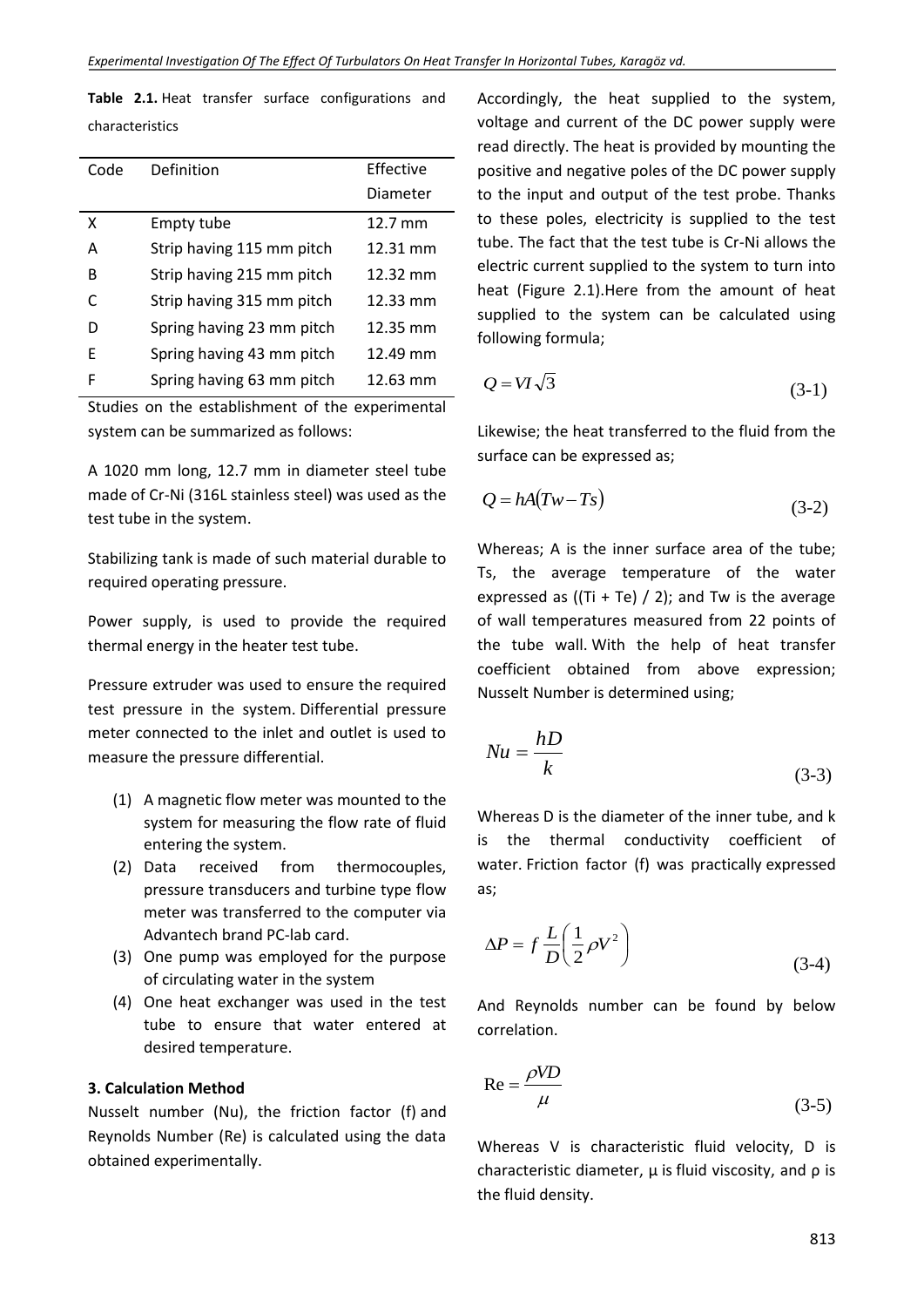**Table 2.1.** Heat transfer surface configurations and characteristics

| Code | Definition                | <b>Fffective</b>  |
|------|---------------------------|-------------------|
|      |                           | Diameter          |
| x    | Empty tube                | $12.7 \text{ mm}$ |
| A    | Strip having 115 mm pitch | 12.31 mm          |
| B    | Strip having 215 mm pitch | 12.32 mm          |
| C    | Strip having 315 mm pitch | 12.33 mm          |
| D    | Spring having 23 mm pitch | 12.35 mm          |
| F    | Spring having 43 mm pitch | 12.49 mm          |
| F    | Spring having 63 mm pitch | 12.63 mm          |

Studies on the establishment of the experimental system can be summarized as follows:

A 1020 mm long, 12.7 mm in diameter steel tube made of Cr-Ni (316L stainless steel) was used as the test tube in the system.

Stabilizing tank is made of such material durable to required operating pressure.

Power supply, is used to provide the required thermal energy in the heater test tube.

Pressure extruder was used to ensure the required test pressure in the system. Differential pressure meter connected to the inlet and outlet is used to measure the pressure differential.

- (1) A magnetic flow meter was mounted to the system for measuring the flow rate of fluid entering the system.
- (2) Data received from thermocouples, pressure transducers and turbine type flow meter was transferred to the computer via Advantech brand PC-lab card.
- (3) One pump was employed for the purpose of circulating water in the system
- (4) One heat exchanger was used in the test tube to ensure that water entered at desired temperature.

### **3. Calculation Method**

Nusselt number (Nu), the friction factor (f) and Reynolds Number (Re) is calculated using the data obtained experimentally.

Accordingly, the heat supplied to the system, voltage and current of the DC power supply were read directly. The heat is provided by mounting the positive and negative poles of the DC power supply to the input and output of the test probe. Thanks to these poles, electricity is supplied to the test tube. The fact that the test tube is Cr-Ni allows the electric current supplied to the system to turn into heat (Figure 2.1).Here from the amount of heat supplied to the system can be calculated using following formula;

$$
Q = VI\sqrt{3} \tag{3-1}
$$

Likewise; the heat transferred to the fluid from the surface can be expressed as;

$$
Q = hA(Tw - Ts) \tag{3-2}
$$

Whereas; A is the inner surface area of the tube; Ts, the average temperature of the water expressed as ((Ti + Te) / 2); and Tw is the average of wall temperatures measured from 22 points of the tube wall. With the help of heat transfer coefficient obtained from above expression; Nusselt Number is determined using;

$$
Nu = \frac{hD}{k} \tag{3-3}
$$

Whereas D is the diameter of the inner tube, and k is the thermal conductivity coefficient of water. Friction factor (f) was practically expressed as;

$$
\Delta P = f \frac{L}{D} \left( \frac{1}{2} \rho V^2 \right)
$$
 (3-4)

And Reynolds number can be found by below correlation.

$$
Re = \frac{\rho V D}{\mu}
$$
 (3-5)

Whereas V is characteristic fluid velocity, D is characteristic diameter, μ is fluid viscosity, and ρ is the fluid density.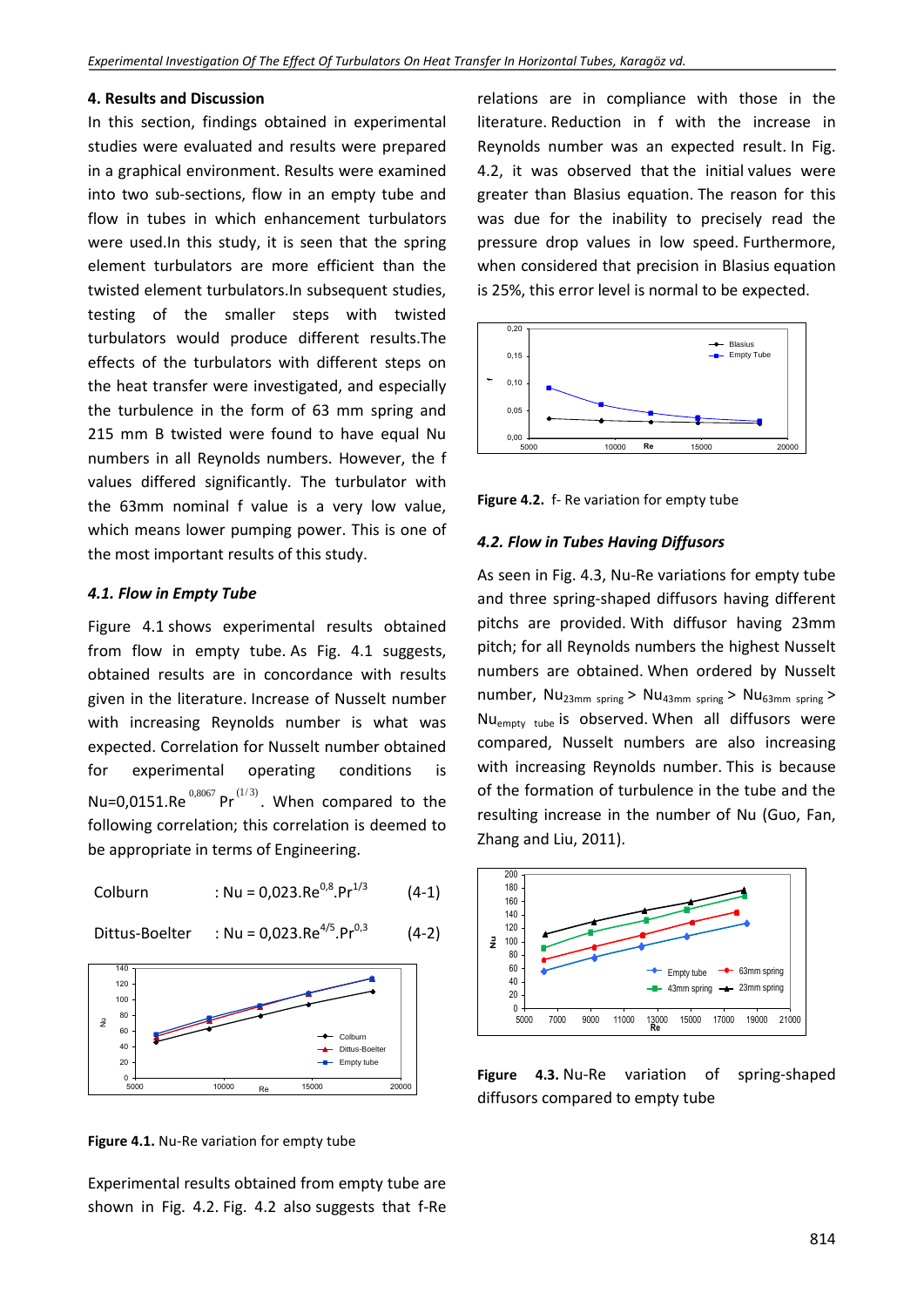#### **4. Results and Discussion**

In this section, findings obtained in experimental studies were evaluated and results were prepared in a graphical environment. Results were examined into two sub-sections, flow in an empty tube and flow in tubes in which enhancement turbulators were used.In this study, it is seen that the spring element turbulators are more efficient than the twisted element turbulators.In subsequent studies, testing of the smaller steps with twisted turbulators would produce different results.The effects of the turbulators with different steps on the heat transfer were investigated, and especially the turbulence in the form of 63 mm spring and 215 mm B twisted were found to have equal Nu numbers in all Reynolds numbers. However, the f values differed significantly. The turbulator with the 63mm nominal f value is a very low value, which means lower pumping power. This is one of the most important results of this study.

#### *4.1. Flow in Empty Tube*

Figure 4.1 shows experimental results obtained from flow in empty tube. As Fig. 4.1 suggests, obtained results are in concordance with results given in the literature. Increase of Nusselt number with increasing Reynolds number is what was expected. Correlation for Nusselt number obtained for experimental operating conditions is Nu=0,0151.Re  $^{0,8067}$  Pr $^{(1/3)}$ . When compared to the following correlation; this correlation is deemed to be appropriate in terms of Engineering.

Colburn : Nu = 0,023.Re0,8.Pr1/3 (4-1)

Dittus-Boelter : Nu = 0,023.Re<sup>4/5</sup>.Pr<sup>0,3</sup> (4-2)

$$
Re^{4/5} Pr^{0,3}
$$



**Figure 4.1.** Nu-Re variation for empty tube

Experimental results obtained from empty tube are shown in Fig. 4.2. Fig. 4.2 also suggests that f-Re

relations are in compliance with those in the literature. Reduction in f with the increase in Reynolds number was an expected result. In Fig. 4.2, it was observed that the initial values were greater than Blasius equation. The reason for this was due for the inability to precisely read the pressure drop values in low speed. Furthermore, when considered that precision in Blasius equation is 25%, this error level is normal to be expected.



**Figure 4.2.** f- Re variation for empty tube

#### *4.2. Flow in Tubes Having Diffusors*

As seen in Fig. 4.3, Nu-Re variations for empty tube and three spring-shaped diffusors having different pitchs are provided. With diffusor having 23mm pitch; for all Reynolds numbers the highest Nusselt numbers are obtained. When ordered by Nusselt number,  $Nu_{23mm}$  spring >  $Nu_{43mm}$  spring >  $Nu_{63mm}$  spring > Nu<sub>empty tube</sub> is observed. When all diffusors were compared, Nusselt numbers are also increasing with increasing Reynolds number. This is because of the formation of turbulence in the tube and the resulting increase in the number of Nu (Guo, Fan, Zhang and Liu, 2011).



**Figure 4.3.** Nu-Re variation of spring-shaped diffusors compared to empty tube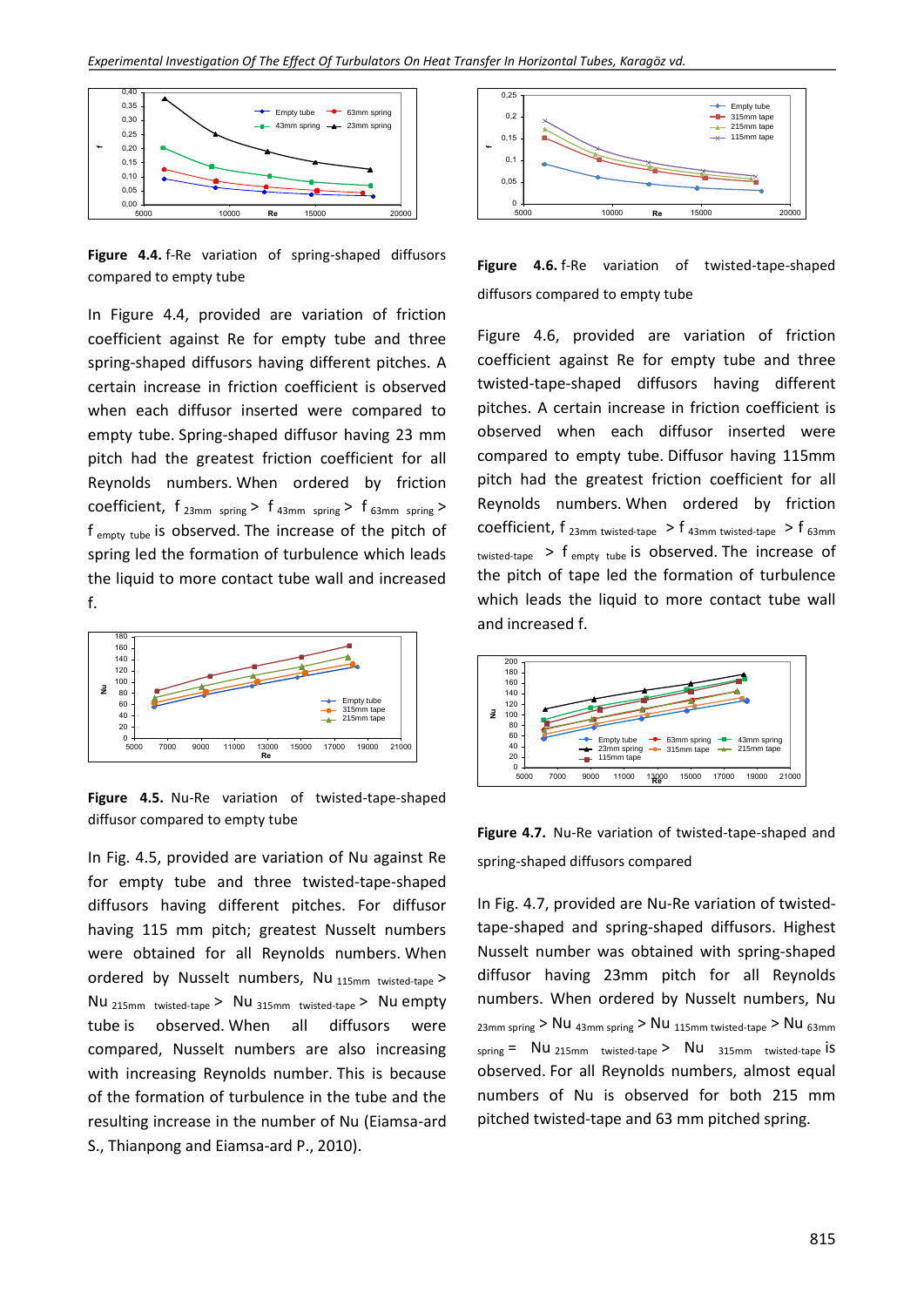

**Figure 4.4.** f-Re variation of spring-shaped diffusors compared to empty tube

In Figure 4.4, provided are variation of friction coefficient against Re for empty tube and three spring-shaped diffusors having different pitches. A certain increase in friction coefficient is observed when each diffusor inserted were compared to empty tube. Spring-shaped diffusor having 23 mm pitch had the greatest friction coefficient for all Reynolds numbers. When ordered by friction coefficient,  $f_{23mm$  spring >  $f_{43mm}$  spring >  $f_{63mm}$  spring > f empty tube is observed. The increase of the pitch of spring led the formation of turbulence which leads the liquid to more contact tube wall and increased f.



**Figure 4.5.** Nu-Re variation of twisted-tape-shaped diffusor compared to empty tube

In Fig. 4.5, provided are variation of Nu against Re for empty tube and three twisted-tape-shaped diffusors having different pitches. For diffusor having 115 mm pitch; greatest Nusselt numbers were obtained for all Reynolds numbers. When ordered by Nusselt numbers, Nu 115mm twisted-tape > Nu 215mm twisted-tape > Nu 315mm twisted-tape > Nu empty tube is observed. When all diffusors were compared, Nusselt numbers are also increasing with increasing Reynolds number. This is because of the formation of turbulence in the tube and the resulting increase in the number of Nu (Eiamsa-ard S., Thianpong and Eiamsa-ard P., 2010).





Figure 4.6, provided are variation of friction coefficient against Re for empty tube and three twisted-tape-shaped diffusors having different pitches. A certain increase in friction coefficient is observed when each diffusor inserted were compared to empty tube. Diffusor having 115mm pitch had the greatest friction coefficient for all Reynolds numbers. When ordered by friction coefficient,  $f_{23mm \text{ twisted-tape}} > f_{43mm \text{ twisted-tape}} > f_{63mm}$ twisted-tape  $>$  f empty tube is observed. The increase of the pitch of tape led the formation of turbulence which leads the liquid to more contact tube wall and increased f.



**Figure 4.7.** Nu-Re variation of twisted-tape-shaped and spring-shaped diffusors compared

In Fig. 4.7, provided are Nu-Re variation of twistedtape-shaped and spring-shaped diffusors. Highest Nusselt number was obtained with spring-shaped diffusor having 23mm pitch for all Reynolds numbers. When ordered by Nusselt numbers, Nu 23mm spring > Nu 43mm spring > Nu 115mm twisted-tape > Nu 63mm spring  $=$  Nu 215mm twisted-tape > Nu 315mm twisted-tape is observed. For all Reynolds numbers, almost equal numbers of Nu is observed for both 215 mm pitched twisted-tape and 63 mm pitched spring.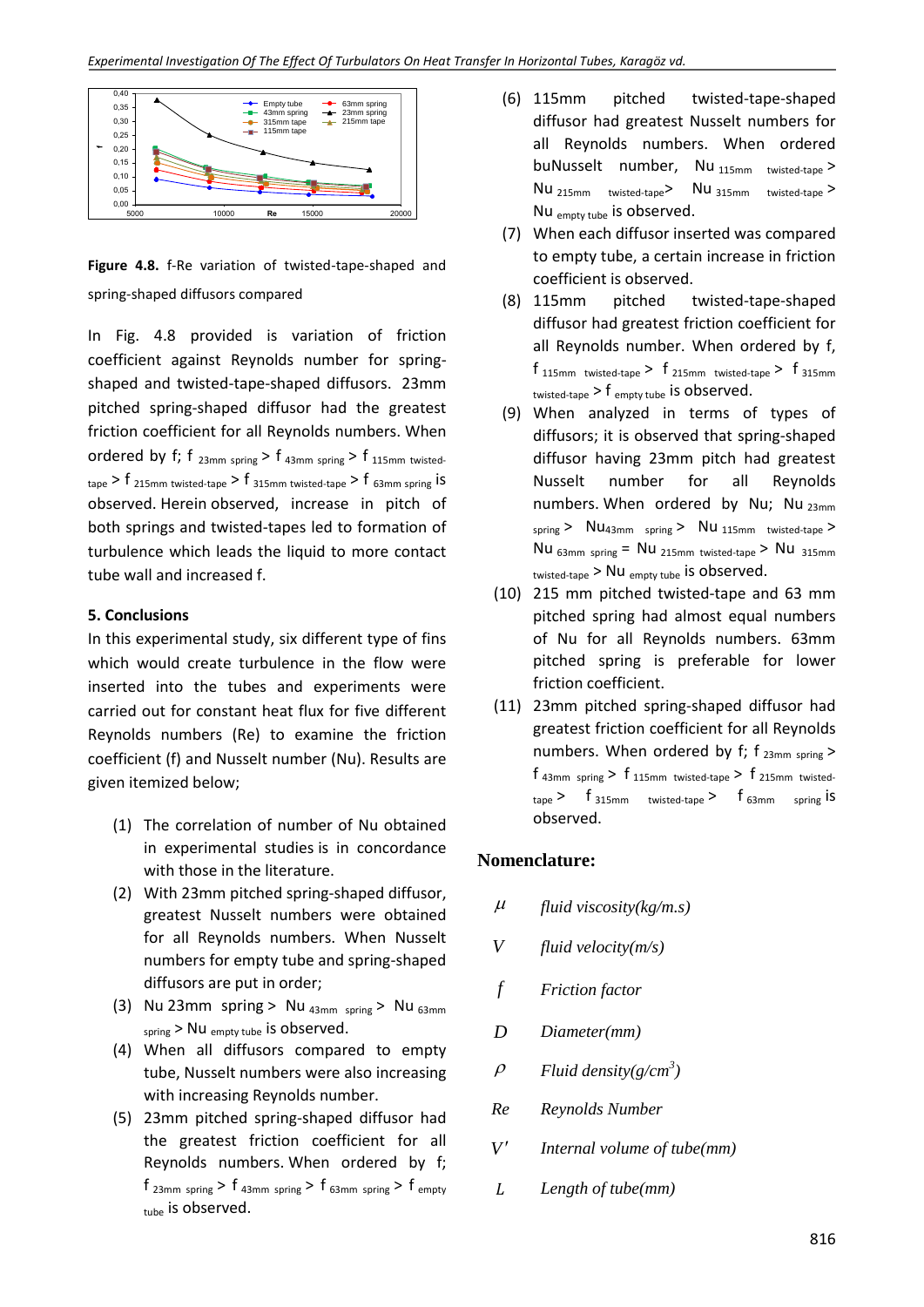

**Figure 4.8.** f-Re variation of twisted-tape-shaped and spring-shaped diffusors compared

In Fig. 4.8 provided is variation of friction coefficient against Reynolds number for springshaped and twisted-tape-shaped diffusors. 23mm pitched spring-shaped diffusor had the greatest friction coefficient for all Reynolds numbers. When ordered by f; f  $_{23mm}$  spring > f  $_{43mm}$  spring > f  $_{115mm}$  twisted- $_{\text{tape}}$  > f  $_{\text{215mm}}$  twisted-tape > f  $_{\text{315mm}}$  twisted-tape > f  $_{\text{63mm}}$  spring iS observed. Herein observed, increase in pitch of both springs and twisted-tapes led to formation of turbulence which leads the liquid to more contact tube wall and increased f.

### **5. Conclusions**

In this experimental study, six different type of fins which would create turbulence in the flow were inserted into the tubes and experiments were carried out for constant heat flux for five different Reynolds numbers (Re) to examine the friction coefficient (f) and Nusselt number (Nu). Results are given itemized below;

- (1) The correlation of number of Nu obtained in experimental studies is in concordance with those in the literature.
- (2) With 23mm pitched spring-shaped diffusor, greatest Nusselt numbers were obtained for all Reynolds numbers. When Nusselt numbers for empty tube and spring-shaped diffusors are put in order;
- (3) Nu 23mm spring > Nu  $_{43mm}$  spring > Nu  $_{63mm}$ spring > Nu empty tube is observed.
- (4) When all diffusors compared to empty tube, Nusselt numbers were also increasing with increasing Reynolds number.
- (5) 23mm pitched spring-shaped diffusor had the greatest friction coefficient for all Reynolds numbers. When ordered by f;  $f_{23mm}$  spring >  $f_{43mm}$  spring >  $f_{63mm}$  spring >  $f_{empt}$  $_{tube}$  is observed.
- (6) 115mm pitched twisted-tape-shaped diffusor had greatest Nusselt numbers for all Reynolds numbers. When ordered buNusselt number, Nu 115mm twisted-tape > Nu 215mm twisted-tape> Nu 315mm twisted-tape > Nu empty tube is observed.
- (7) When each diffusor inserted was compared to empty tube, a certain increase in friction coefficient is observed.
- (8) 115mm pitched twisted-tape-shaped diffusor had greatest friction coefficient for all Reynolds number. When ordered by f,  $f_{115mm$  twisted-tape >  $f_{215mm}$  twisted-tape >  $f_{315mm}$ twisted-tape  $> f$  empty tube is observed.
- (9) When analyzed in terms of types of diffusors; it is observed that spring-shaped diffusor having 23mm pitch had greatest Nusselt number for all Reynolds numbers. When ordered by Nu; Nu 23mm  $_{spring}$  >  $Nu_{43mm}$   $_{spring}$  >  $Nu_{115mm}$  twisted-tape > Nu  $_{63mm}$  spring = Nu  $_{215mm}$  twisted-tape > Nu  $_{315mm}$ twisted-tape > Nu empty tube is observed.
- (10) 215 mm pitched twisted-tape and 63 mm pitched spring had almost equal numbers of Nu for all Reynolds numbers. 63mm pitched spring is preferable for lower friction coefficient.
- (11) 23mm pitched spring-shaped diffusor had greatest friction coefficient for all Reynolds numbers. When ordered by f;  $f_{23mm spring}$  >  $f_{43mm}$  spring >  $f_{115mm}$  twisted-tape >  $f_{215mm}$  twisted- $_{\text{tape}}$  > f<sub>315mm</sub> twisted-tape > f<sub>63mm spring</sub> is observed.

# **Nomenclature:**

- $\mu$ *fluid viscosity(kg/m.s)*
- *V fluid velocity(m/s)*
- *f Friction factor*
- *D Diameter(mm)*
- $\rho$ *Fluid density(g/cm<sup>3</sup> )*
- *Re Reynolds Number*
- *V Internal volume of tube(mm)*
- *Length of tube(mm)*